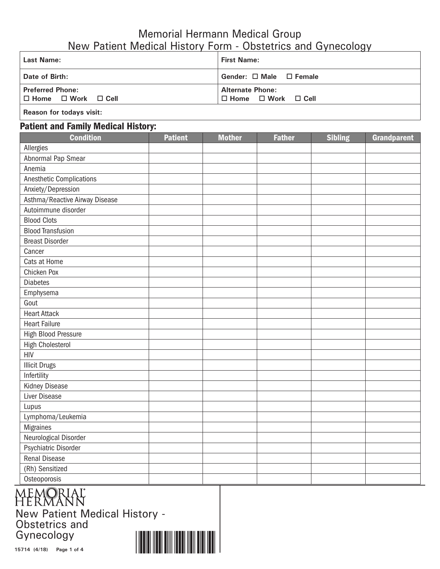## Memorial Hermann Medical Group New Patient Medical History Form - Obstetrics and Gynecology

| Last Name:                                                     | <b>First Name:</b>                                             |  |  |  |  |
|----------------------------------------------------------------|----------------------------------------------------------------|--|--|--|--|
| Date of Birth:                                                 | Gender: $\Box$ Male $\Box$ Female                              |  |  |  |  |
| <b>Preferred Phone:</b><br>$\Box$ Home $\Box$ Work $\Box$ Cell | <b>Alternate Phone:</b><br>$\Box$ Home $\Box$ Work $\Box$ Cell |  |  |  |  |
|                                                                |                                                                |  |  |  |  |

**Reason for todays visit:**

## Patient and Family Medical History:

| <b>Condition</b>               | <b>Patient</b> | <b>Mother</b> | <b>Father</b> | <b>Sibling</b> | <b>Grandparent</b> |
|--------------------------------|----------------|---------------|---------------|----------------|--------------------|
| Allergies                      |                |               |               |                |                    |
| Abnormal Pap Smear             |                |               |               |                |                    |
| Anemia                         |                |               |               |                |                    |
| Anesthetic Complications       |                |               |               |                |                    |
| Anxiety/Depression             |                |               |               |                |                    |
| Asthma/Reactive Airway Disease |                |               |               |                |                    |
| Autoimmune disorder            |                |               |               |                |                    |
| <b>Blood Clots</b>             |                |               |               |                |                    |
| <b>Blood Transfusion</b>       |                |               |               |                |                    |
| <b>Breast Disorder</b>         |                |               |               |                |                    |
| Cancer                         |                |               |               |                |                    |
| Cats at Home                   |                |               |               |                |                    |
| Chicken Pox                    |                |               |               |                |                    |
| <b>Diabetes</b>                |                |               |               |                |                    |
| Emphysema                      |                |               |               |                |                    |
| Gout                           |                |               |               |                |                    |
| <b>Heart Attack</b>            |                |               |               |                |                    |
| <b>Heart Failure</b>           |                |               |               |                |                    |
| High Blood Pressure            |                |               |               |                |                    |
| <b>High Cholesterol</b>        |                |               |               |                |                    |
| <b>HIV</b>                     |                |               |               |                |                    |
| <b>Illicit Drugs</b>           |                |               |               |                |                    |
| Infertility                    |                |               |               |                |                    |
| Kidney Disease                 |                |               |               |                |                    |
| Liver Disease                  |                |               |               |                |                    |
| Lupus                          |                |               |               |                |                    |
| Lymphoma/Leukemia              |                |               |               |                |                    |
| Migraines                      |                |               |               |                |                    |
| Neurological Disorder          |                |               |               |                |                    |
| <b>Psychiatric Disorder</b>    |                |               |               |                |                    |
| <b>Renal Disease</b>           |                |               |               |                |                    |
| (Rh) Sensitized                |                |               |               |                |                    |
| Osteoporosis                   |                |               |               |                |                    |

New Patient Medical History - Obstetrics and Gynecology

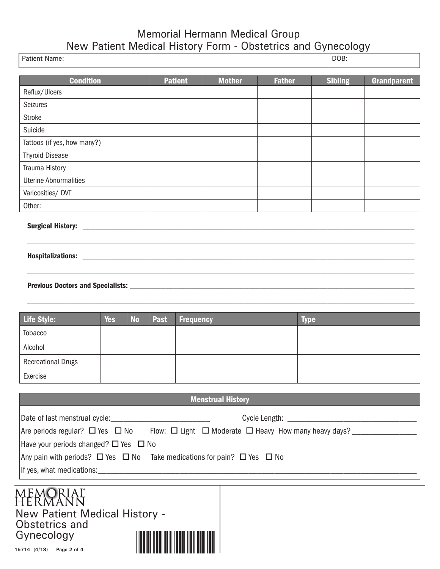## Memorial Hermann Medical Group New Patient Medical History Form - Obstetrics and Gynecology

| Patient Name:                                                                                                    |            |           |             |                  |                          |               | DOB:           |                    |
|------------------------------------------------------------------------------------------------------------------|------------|-----------|-------------|------------------|--------------------------|---------------|----------------|--------------------|
| <b>Condition</b>                                                                                                 |            |           |             | <b>Patient</b>   | <b>Mother</b>            | <b>Father</b> | <b>Sibling</b> | <b>Grandparent</b> |
| Reflux/Ulcers                                                                                                    |            |           |             |                  |                          |               |                |                    |
| <b>Seizures</b>                                                                                                  |            |           |             |                  |                          |               |                |                    |
| <b>Stroke</b>                                                                                                    |            |           |             |                  |                          |               |                |                    |
| Suicide                                                                                                          |            |           |             |                  |                          |               |                |                    |
| Tattoos (if yes, how many?)                                                                                      |            |           |             |                  |                          |               |                |                    |
| <b>Thyroid Disease</b>                                                                                           |            |           |             |                  |                          |               |                |                    |
| Trauma History                                                                                                   |            |           |             |                  |                          |               |                |                    |
| <b>Uterine Abnormalities</b>                                                                                     |            |           |             |                  |                          |               |                |                    |
| Varicosities/ DVT                                                                                                |            |           |             |                  |                          |               |                |                    |
| Other:                                                                                                           |            |           |             |                  |                          |               |                |                    |
|                                                                                                                  |            |           |             |                  |                          |               |                |                    |
|                                                                                                                  |            |           |             |                  |                          |               |                |                    |
|                                                                                                                  |            |           |             |                  |                          |               |                |                    |
|                                                                                                                  |            |           |             |                  |                          |               |                |                    |
|                                                                                                                  |            |           |             |                  |                          |               |                |                    |
|                                                                                                                  |            |           |             |                  |                          |               |                |                    |
| <b>Life Style:</b>                                                                                               | <b>Yes</b> | <b>No</b> | <b>Past</b> | <b>Frequency</b> |                          |               | <b>Type</b>    |                    |
| Tobacco                                                                                                          |            |           |             |                  |                          |               |                |                    |
| Alcohol                                                                                                          |            |           |             |                  |                          |               |                |                    |
| <b>Recreational Drugs</b>                                                                                        |            |           |             |                  |                          |               |                |                    |
| <b>Fxercise</b>                                                                                                  |            |           |             |                  |                          |               |                |                    |
|                                                                                                                  |            |           |             |                  |                          |               |                |                    |
|                                                                                                                  |            |           |             |                  | <b>Menstrual History</b> |               |                |                    |
|                                                                                                                  |            |           |             |                  |                          |               |                |                    |
| Are periods regular? □ Yes □ No Flow: □ Light □ Moderate □ Heavy How many heavy days? ______________             |            |           |             |                  |                          |               |                |                    |
| Have your periods changed? □ Yes □ No                                                                            |            |           |             |                  |                          |               |                |                    |
| Any pain with periods? $\Box$ Yes $\Box$ No Take medications for pain? $\Box$ Yes $\Box$ No                      |            |           |             |                  |                          |               |                |                    |
|                                                                                                                  |            |           |             |                  |                          |               |                |                    |
|                                                                                                                  |            |           |             |                  |                          |               |                |                    |
|                                                                                                                  |            |           |             |                  |                          |               |                |                    |
|                                                                                                                  |            |           |             |                  |                          |               |                |                    |
|                                                                                                                  |            |           |             |                  |                          |               |                |                    |
|                                                                                                                  |            |           |             |                  |                          |               |                |                    |
|                                                                                                                  |            |           |             |                  |                          |               |                |                    |
| Memoriaľ<br>Hermann<br>New Patient Medical History -<br>Obstetrics and<br>Gynecology<br>15714 (4/18) Page 2 of 4 |            |           |             |                  |                          |               |                |                    |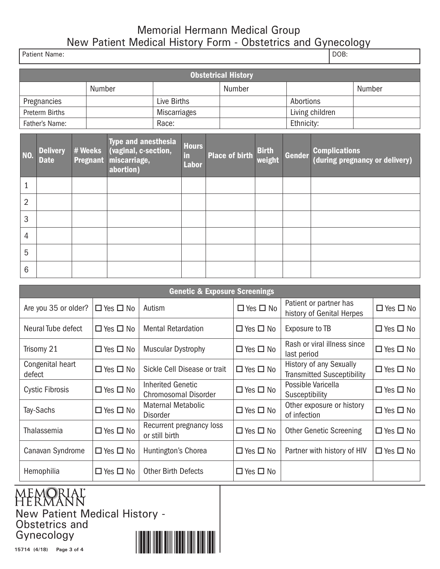## Memorial Hermann Medical Group New Patient Medical History Form - Obstetrics and Gynecology

| Patient Name:  |                                |  |                            |                                                                          |              | DOB:                               |  |                       |                        |                 |  |                      |                                |  |
|----------------|--------------------------------|--|----------------------------|--------------------------------------------------------------------------|--------------|------------------------------------|--|-----------------------|------------------------|-----------------|--|----------------------|--------------------------------|--|
|                | <b>Obstetrical History</b>     |  |                            |                                                                          |              |                                    |  |                       |                        |                 |  |                      |                                |  |
|                |                                |  | Number                     |                                                                          |              |                                    |  | Number                |                        |                 |  |                      | Number                         |  |
|                | Pregnancies                    |  |                            |                                                                          | Live Births  |                                    |  |                       |                        | Abortions       |  |                      |                                |  |
|                | Preterm Births                 |  |                            |                                                                          | Miscarriages |                                    |  |                       |                        | Living children |  |                      |                                |  |
|                | Father's Name:                 |  |                            |                                                                          | Race:        |                                    |  |                       |                        | Ethnicity:      |  |                      |                                |  |
| NO.            | <b>Delivery</b><br><b>Date</b> |  | # Weeks<br><b>Pregnant</b> | Type and anesthesia<br>(vaginal, c-section,<br>miscarriage,<br>abortion) |              | <b>Hours</b><br>in<br><b>Labor</b> |  | <b>Place of birth</b> | <b>Birth</b><br>weight | <b>Gender</b>   |  | <b>Complications</b> | (during pregnancy or delivery) |  |
| 1              |                                |  |                            |                                                                          |              |                                    |  |                       |                        |                 |  |                      |                                |  |
| $\overline{2}$ |                                |  |                            |                                                                          |              |                                    |  |                       |                        |                 |  |                      |                                |  |
| 3              |                                |  |                            |                                                                          |              |                                    |  |                       |                        |                 |  |                      |                                |  |
| $\overline{4}$ |                                |  |                            |                                                                          |              |                                    |  |                       |                        |                 |  |                      |                                |  |
| 5              |                                |  |                            |                                                                          |              |                                    |  |                       |                        |                 |  |                      |                                |  |

| <b>Genetic &amp; Exposure Screenings</b> |                      |                                              |                      |                                                              |                      |  |  |  |
|------------------------------------------|----------------------|----------------------------------------------|----------------------|--------------------------------------------------------------|----------------------|--|--|--|
| Are you 35 or older?                     | $\Box$ Yes $\Box$ No | Autism                                       | $\Box$ Yes $\Box$ No | Patient or partner has<br>history of Genital Herpes          | $\Box$ Yes $\Box$ No |  |  |  |
| Neural Tube defect                       | $\Box$ Yes $\Box$ No | <b>Mental Retardation</b>                    | $\Box$ Yes $\Box$ No | Exposure to TB                                               | $\Box$ Yes $\Box$ No |  |  |  |
| Trisomy 21                               | $\Box$ Yes $\Box$ No | <b>Muscular Dystrophy</b>                    | $\Box$ Yes $\Box$ No | Rash or viral illness since<br>last period                   | $\Box$ Yes $\Box$ No |  |  |  |
| Congenital heart<br>defect               | $\Box$ Yes $\Box$ No | Sickle Cell Disease or trait                 | $\Box$ Yes $\Box$ No | History of any Sexually<br><b>Transmitted Susceptibility</b> | $\Box$ Yes $\Box$ No |  |  |  |
| <b>Cystic Fibrosis</b>                   | $\Box$ Yes $\Box$ No | Inherited Genetic<br>Chromosomal Disorder    | $\Box$ Yes $\Box$ No | Possible Varicella<br>Susceptibility                         | $\Box$ Yes $\Box$ No |  |  |  |
| Tay-Sachs                                | $\Box$ Yes $\Box$ No | <b>Maternal Metabolic</b><br><b>Disorder</b> | $\Box$ Yes $\Box$ No | Other exposure or history<br>of infection                    | $\Box$ Yes $\Box$ No |  |  |  |
| Thalassemia                              | $\Box$ Yes $\Box$ No | Recurrent pregnancy loss<br>or still birth   | $\Box$ Yes $\Box$ No | <b>Other Genetic Screening</b>                               | $\Box$ Yes $\Box$ No |  |  |  |
| Canavan Syndrome                         | $\Box$ Yes $\Box$ No | Huntington's Chorea                          | $\Box$ Yes $\Box$ No | Partner with history of HIV                                  | $\Box$ Yes $\Box$ No |  |  |  |
| Hemophilia                               | $\Box$ Yes $\Box$ No | <b>Other Birth Defects</b>                   | $\Box$ Yes $\Box$ No |                                                              |                      |  |  |  |



6